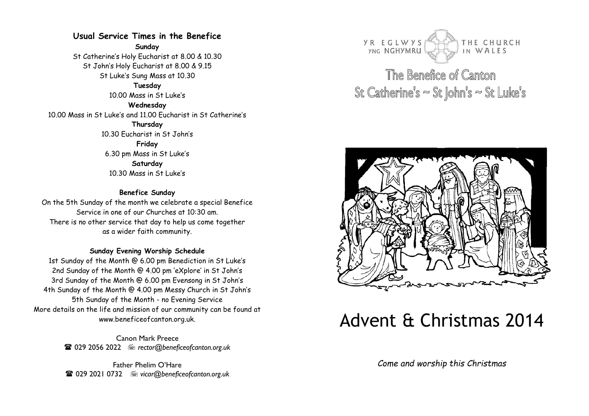## **Usual Service Times in the Benefice**

**Sunday**

St Catherine's Holy Eucharist at 8.00 & 10.30 St John's Holy Eucharist at 8.00 & 9.15 St Luke's Sung Mass at 10.30 **Tuesday**  10.00 Mass in St Luke's **Wednesday**  10.00 Mass in St Luke's and 11.00 Eucharist in St Catherine's **Thursday**  10.30 Eucharist in St John's **Friday**  6.30 pm Mass in St Luke's **Saturday**  10.30 Mass in St Luke's

#### **Benefice Sunday**

On the 5th Sunday of the month we celebrate a special Benefice Service in one of our Churches at 10:30 am. There is no other service that day to help us come together as a wider faith community.

#### **Sunday Evening Worship Schedule**

1st Sunday of the Month @ 6.00 pm Benediction in St Luke's 2nd Sunday of the Month @ 4.00 pm 'eXplore' in St John's 3rd Sunday of the Month @ 6.00 pm Evensong in St John's 4th Sunday of the Month @ 4.00 pm Messy Church in St John's 5th Sunday of the Month - no Evening Service More details on the life and mission of our community can be found at www.beneficeofcanton.org.uk.

> Canon Mark Preece **■ 029 2056 2022** ■ rector@beneficeofcanton.org.uk

> Father Phelim O'Hare 029 2021 0732 *vicar@beneficeofcanton.org.uk*



The Benefice of Canton St Catherine's  $\approx$  St John's  $\approx$  St Luke's



# Advent & Christmas 2014

*Come and worship this Christmas*